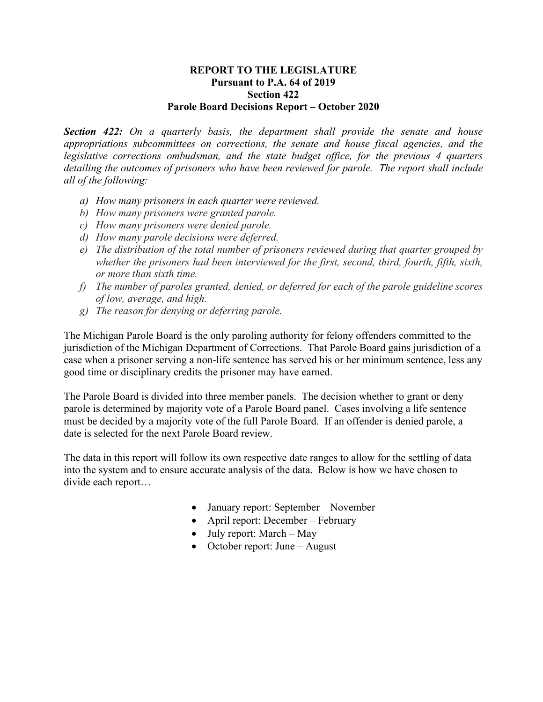## **REPORT TO THE LEGISLATURE Pursuant to P.A. 64 of 2019 Section 422 Parole Board Decisions Report – October 2020**

*Section 422: On a quarterly basis, the department shall provide the senate and house appropriations subcommittees on corrections, the senate and house fiscal agencies, and the legislative corrections ombudsman, and the state budget office, for the previous 4 quarters detailing the outcomes of prisoners who have been reviewed for parole. The report shall include all of the following:* 

- *a) How many prisoners in each quarter were reviewed.*
- *b) How many prisoners were granted parole.*
- *c) How many prisoners were denied parole.*
- *d) How many parole decisions were deferred.*
- *e) The distribution of the total number of prisoners reviewed during that quarter grouped by whether the prisoners had been interviewed for the first, second, third, fourth, fifth, sixth, or more than sixth time.*
- *f) The number of paroles granted, denied, or deferred for each of the parole guideline scores of low, average, and high.*
- *g) The reason for denying or deferring parole.*

The Michigan Parole Board is the only paroling authority for felony offenders committed to the jurisdiction of the Michigan Department of Corrections. That Parole Board gains jurisdiction of a case when a prisoner serving a non-life sentence has served his or her minimum sentence, less any good time or disciplinary credits the prisoner may have earned.

The Parole Board is divided into three member panels. The decision whether to grant or deny parole is determined by majority vote of a Parole Board panel. Cases involving a life sentence must be decided by a majority vote of the full Parole Board. If an offender is denied parole, a date is selected for the next Parole Board review.

The data in this report will follow its own respective date ranges to allow for the settling of data into the system and to ensure accurate analysis of the data. Below is how we have chosen to divide each report…

- January report: September November
- April report: December February
- July report: March May
- October report: June August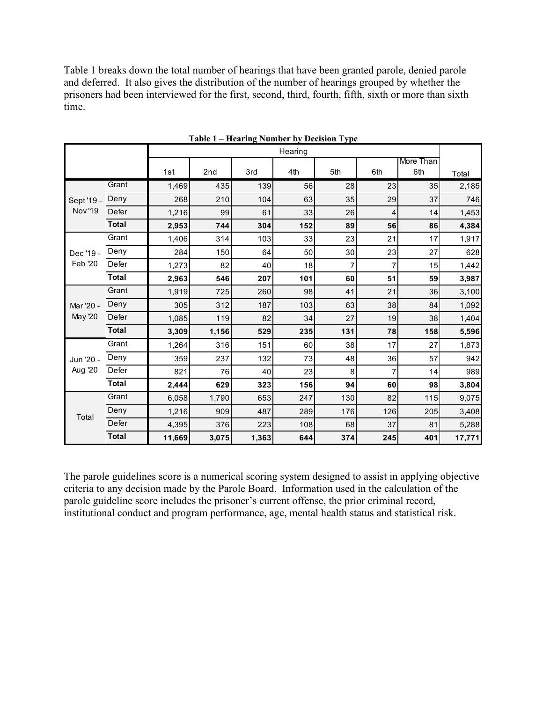Table 1 breaks down the total number of hearings that have been granted parole, denied parole and deferred. It also gives the distribution of the number of hearings grouped by whether the prisoners had been interviewed for the first, second, third, fourth, fifth, sixth or more than sixth time.

|                             |              |         |       |       | Table 1 – Hearing Number by Decision Type |                 |     |           |        |
|-----------------------------|--------------|---------|-------|-------|-------------------------------------------|-----------------|-----|-----------|--------|
|                             |              | Hearing |       |       |                                           |                 |     |           |        |
|                             |              |         |       |       |                                           |                 |     | More Than |        |
|                             |              | 1st     | 2nd   | 3rd   | 4th                                       | 5th             | 6th | 6th       | Total  |
| Sept '19 -<br><b>Nov'19</b> | Grant        | 1,469   | 435   | 139   | 56                                        | 28              | 23  | 35        | 2,185  |
|                             | Deny         | 268     | 210   | 104   | 63                                        | 35              | 29  | 37        | 746    |
|                             | Defer        | 1,216   | 99    | 61    | 33                                        | 26              | 4   | 14        | 1,453  |
|                             | <b>Total</b> | 2,953   | 744   | 304   | 152                                       | 89              | 56  | 86        | 4,384  |
| Dec '19 -                   | Grant        | 1,406   | 314   | 103   | 33                                        | 23              | 21  | 17        | 1,917  |
|                             | Deny         | 284     | 150   | 64    | 50                                        | 30 <sup>°</sup> | 23  | 27        | 628    |
| <b>Feb '20</b>              | Defer        | 1,273   | 82    | 40    | 18                                        | 7               | 7   | 15        | 1,442  |
|                             | <b>Total</b> | 2,963   | 546   | 207   | 101                                       | 60              | 51  | 59        | 3,987  |
|                             | Grant        | 1,919   | 725   | 260   | 98                                        | 41              | 21  | 36        | 3,100  |
| Mar '20 -<br><b>May '20</b> | Deny         | 305     | 312   | 187   | 103                                       | 63              | 38  | 84        | 1,092  |
|                             | Defer        | 1,085   | 119   | 82    | 34                                        | 27              | 19  | 38        | 1,404  |
|                             | <b>Total</b> | 3,309   | 1,156 | 529   | 235                                       | 131             | 78  | 158       | 5,596  |
| Jun '20 -<br>Aug '20        | Grant        | 1,264   | 316   | 151   | 60                                        | 38              | 17  | 27        | 1,873  |
|                             | Deny         | 359     | 237   | 132   | 73                                        | 48              | 36  | 57        | 942    |
|                             | Defer        | 821     | 76    | 40    | 23                                        | 8               | 7   | 14        | 989    |
|                             | Total        | 2,444   | 629   | 323   | 156                                       | 94              | 60  | 98        | 3,804  |
| Total                       | Grant        | 6,058   | 1,790 | 653   | 247                                       | 130             | 82  | 115       | 9,075  |
|                             | Deny         | 1,216   | 909   | 487   | 289                                       | 176             | 126 | 205       | 3,408  |
|                             | Defer        | 4,395   | 376   | 223   | 108                                       | 68              | 37  | 81        | 5,288  |
|                             | <b>Total</b> | 11,669  | 3,075 | 1,363 | 644                                       | 374             | 245 | 401       | 17,771 |

**Table 1 – Hearing Number by Decision Type**

The parole guidelines score is a numerical scoring system designed to assist in applying objective criteria to any decision made by the Parole Board. Information used in the calculation of the parole guideline score includes the prisoner's current offense, the prior criminal record, institutional conduct and program performance, age, mental health status and statistical risk.